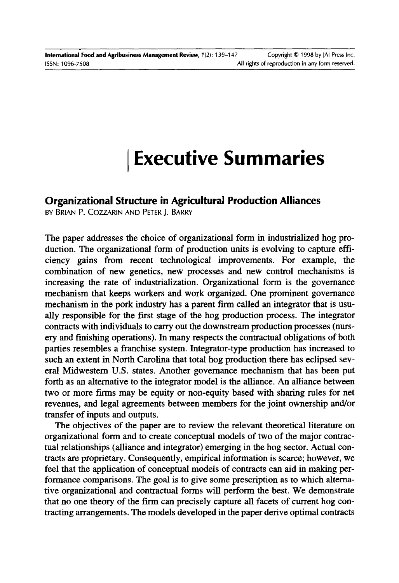# **I Executive Summaries**

## **Organizational Structure in Agricultural Production Alliances**

BY BRIAN P. COZZARIN AND PETER J. BARRY

The paper addresses the choice of organizational form in industrialized hog production. The organizational form of production units is evolving to capture efficiency gains from recent technological improvements. For example, the combination of new genetics, new processes and new control mechanisms is increasing the rate of industrialization. Organizational form is the governance mechanism that keeps workers and work organized. One prominent governance mechanism in the pork industry has a parent finn called an integrator that is usually responsible for the first stage of the hog production process. The integrator contracts with individuals to carry out the downstream production processes (nursery and finishing operations). In many respects the contractual obligations of both parties resembles a franchise system. Integrator-type production has increased to such an extent in North Carolina that total hog production there has eclipsed several Midwestern U.S. states. Another governance mechanism that has been put forth as an alternative to the integrator model is the alliance. An alliance between two or more firms may be equity or non-equity based with sharing rules for net revenues, and legal agreements between members for the joint ownership and/or transfer of inputs and outputs.

The objectives of the paper are to review the relevant theoretical literature on organizational form and to create conceptual models of two of the major contractual relationships (alliance and integrator) emerging in the hog sector. Actual contracts are proprietary. Consequently, empirical information is scarce; however, we feel that the application of conceptual models of contracts can aid in making performance comparisons. The goal is to give some prescription as to which alternative organizational and contractual forms will perform the best. We demonstrate that no one theory of the firm can precisely capture all facets of current hog contracting arrangements. The models developed in the paper derive optimal contracts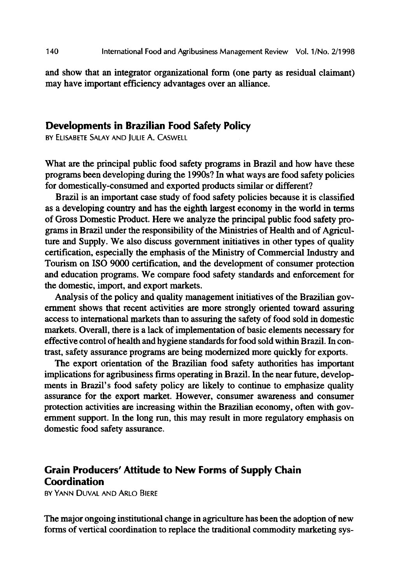and show that an integrator organizational form (one party as residual claimant) may have important efficiency advantages over an alliance.

### **Developments in Brazilian Food Safety Policy**

BY ELISABETE \$ALAY AND JULIE A. CASWELL

What are the principal public food safety programs in Brazil and how have these programs been developing during the 1990s? In what ways are food safety policies for domestically-consumed and exported products similar or different?

Brazil is an important case study of food safety policies because it is classified as a developing country and has the eighth largest economy in the world in terms of Gross Domestic Product. Here we analyze the principal public food safety programs in Brazil under the responsibility of the Ministries of Health and of Agriculture and Supply. We also discuss government initiatives in other types of quality certification, especially the emphasis of the Ministry of Commercial Industry and Tourism on ISO 9000 certification, and the development of consumer protection and education programs. We compare food safety standards and enforcement for the domestic, import, and export markets.

Analysis of the policy and quality management initiatives of the Brazilian government shows that recent activities are more strongly oriented toward assuring access to international markets than to assuring the safety of food sold in domestic markets. Overall, there is a lack of implementation of basic elements necessary for effective control of health and hygiene standards for food sold within Brazil. In contrast, safety assurance programs are being modernized more quickly for exports.

The export orientation of the Brazilian food safety authorities has important implications for agribusiness finns operating in Brazil. In the near future, developmerits in Brazil's food safety policy are likely to continue to emphasize quality assurance for the export market. However, consumer awareness and consumer protection activities are increasing within the Brazilian economy, often with government support. In the long run, this may result in more regulatory emphasis on domestic food safety assurance.

## **Grain Producers' Attitude to New Forms of Supply Chain Coordination**

BY YANN DUVAL AND ARLO BIERE

The major ongoing institutional change in agriculture has been the adoption of new forms of vertical coordination to replace the traditional commodity marketing sys-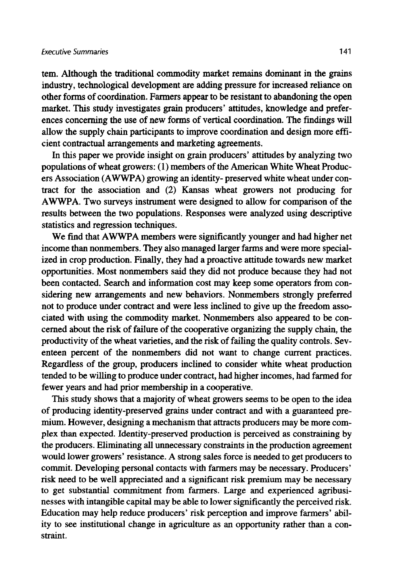tem. Although the traditional commodity market remains dominant in the grains industry, technological development are adding pressure for increased reliance on other forms of coordination. Farmers appear to be resistant to abandoning the open market. This study investigates grain producers' attitudes, knowledge and preferences concerning the use of new forms of vertical coordination. The findings will allow the supply chain participants to improve coordination and design more efficient contractual arrangements and marketing agreements.

In this paper we provide insight on grain producers' attitudes by analyzing two populations of wheat growers: (1) members of the American White Wheat Producers Association (AWWPA) growing an identity- preserved white wheat under contract for the association and (2) Kansas wheat growers not producing for AWWPA. Two surveys instrument were designed to allow for comparison of the results between the two populations. Responses were analyzed using descriptive statistics and regression techniques.

We find that AWWPA members were significantly younger and had higher net income than nonmembers. They also managed larger farms and were more specialized in crop production. Finally, they had a proactive attitude towards new market opportunities. Most nonmembers said they did not produce because they had not been contacted. Search and information cost may keep some operators from considering new arrangements and new behaviors. Nonmembers strongly preferred not to produce under contract and were less inclined to give up the freedom associated with using the commodity market. Nonmembers also appeared to be concerned about the risk of failure of the cooperative organizing the supply chain, the productivity of the wheat varieties, and the risk of failing the quality controls. Seventeen percent of the nonmembers did not want to change current practices. Regardless of the group, producers inclined to consider white wheat production tended to be willing to produce under contract, had higher incomes, had fanned for fewer years and had prior membership in a cooperative.

This study shows that a majority of wheat growers seems to be open to the idea of producing identity-preserved grains under contract and with a guaranteed premium. However, designing a mechanism that attracts producers may be more complex than expected. Identity-preserved production is perceived as constraining by the producers. Eliminating all unnecessary constraints in the production agreement would lower growers' resistance. A strong sales force is needed to get producers to commit. Developing personal contacts with farmers may be necessary. Producers' risk need to be well appreciated and a significant risk premium may be necessary to get substantial commitment from farmers. Large and experienced agribusinesses with intangible capital may be able to lower significantly the perceived risk. Education may help reduce producers' risk perception and improve farmers' ability to see institutional change in agriculture as an opportunity rather than a constraint.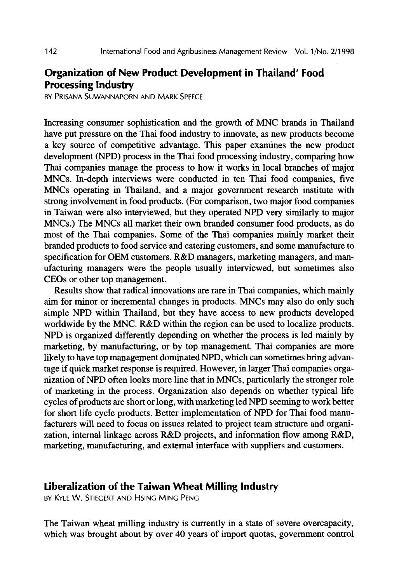# **Organization of New Product Development in Thailand' Food Processing Industry**

BY PRIsANA SUwANNAPORN AND MARK SPEEcE

Increasing consumer sophistication and the growth of MNC brands in Thailand have put pressure on the Thai food industry to innovate, as new products become a key source of competitive advantage. This paper examines the new product development (NPD) process in the Thai food processing industry, comparing how Thai companies manage the process to how it works in local branches of major MNCs. In-depth interviews were conducted in ten Thai food companies, five MNCs operating in Thailand, and a major government research institute with strong involvement in food products. (For comparison, two major food companies in Taiwan were also interviewed, but they operated NPD very similarly to major MNCs.) The MNCs all market their own branded consumer food products, as do most of the Thai companies. Some of the Thai companies mainly market their branded products to food service and catering customers, and some manufacture to specification for OEM customers. R&D managers, marketing managers, and manufacturing managers were the people usually interviewed, but sometimes also CEOs or other top management.

Results show that radical innovations are rare in Thai companies, which mainly aim for minor or incremental changes in products. MNCs may also do only such simple NPD within Thailand, but they have access to new products developed worldwide by the MNC. R&D within the region can be used to localize products. NPD is organized differently depending on whether the process is led mainly by marketing, by manufacturing, or by top management. Thai companies are more likely to have top management dominated NPD, which can sometimes bring advantage if quick market response is required. However, in larger Thai companies organization of NPD often looks more line that in MNCs, particularly the stronger role of marketing in the process. Organization also depends on whether typical life cycles of products are short or long, with marketing led NPD seeming to work better for short life cycle products. Better implementation of NPD for Thai food manufacturers will need to focus on issues related to project team structure and organization, internal linkage across R&D projects, and information flow among R&D, marketing, manufacturing, and external interface with suppliers and customers.

#### **Liberalization of the Taiwan Wheat Milling Industry**

BY KYLE W. STIEGERT AND HSING MING PENG

The Taiwan wheat milling industry is currently in a state of severe overcapacity, which was brought about by over 40 years of import quotas, government control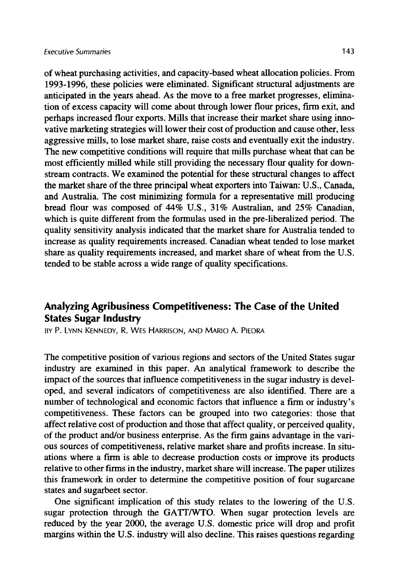of wheat purchasing activities, and capacity-based wheat allocation policies. From 1993-1996, these policies were eliminated. Significant structural adjustments are anticipated in the years ahead. As the move to a free market progresses, elimination of excess capacity will come about through lower flour prices, firm exit, and perhaps increased flour exports. Mills that increase their market share using innovative marketing strategies will lower their cost of production and cause other, less aggressive mills, to lose market share, raise costs and eventually exit the industry. The new competitive conditions will require that mills purchase wheat that can be most efficiently milled while still providing the necessary flour quality for downstream contracts. We examined the potential for these structural changes to affect the market share of the three principal wheat exporters into Taiwan: U.S., Canada, and Australia. The cost minimizing formula for a representative mill producing bread flour was composed of 44% U.S., 31% Australian, and 25% Canadian, which is quite different from the formulas used in the pre-liberalized period. The quality sensitivity analysis indicated that the market share for Australia tended to increase as quality requirements increased. Canadian wheat tended to lose market share as quality requirements increased, and market share of wheat from the U.S. tended to be stable across a wide range of quality specifications.

## **Analyzing Agribusiness Competitiveness: The Case of the United States Sugar Industry**

**BY P. LYNN KENNEDY, R. WES HARRISON, AND MARIO A. PIEDRA** 

The competitive position of various regions and sectors of the United States sugar industry are examined in this paper. An analytical framework to describe the impact of the sources that influence competitiveness in the sugar industry is developed, and several indicators of competitiveness are also identified. There are a number of technological and economic factors that influence a firm or industry's competitiveness. These factors can be grouped into two categories: those that affect relative cost of production and those that affect quality, or perceived quality, of the product and/or business enterprise. As the firm gains advantage in the various sources of competitiveness, relative market share and profits increase. In situations where a firm is able to decrease production costs or improve its products relative to other firms in the industry, market share will increase. The paper utilizes this framework in order to determine the competitive position of four sugarcane states and sugarbeet sector.

One significant implication of this study relates to the lowering of the U.S. sugar protection through the GATT/WTO. When sugar protection levels are reduced by the year 2000, the average U.S. domestic price will drop and profit margins within the U.S. industry will also decline. This raises questions regarding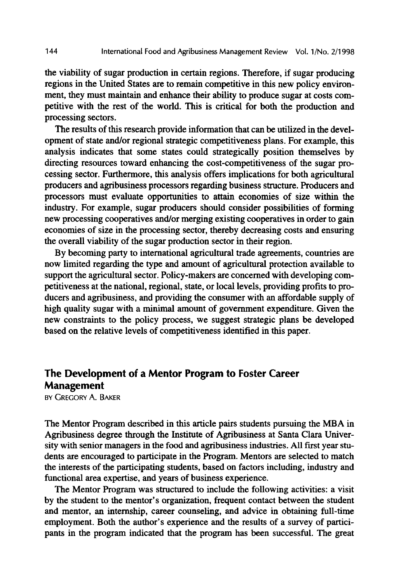the viability of sugar production in certain regions. Therefore, if sugar producing regions in the United States are to remain competitive in this new policy environment, they must maintain and enhance their ability to produce sugar at costs competitive with the rest of the world. This is critical for both the production and processing sectors.

The results of this research provide information that can be utilized in the development of state and/or regional strategic competitiveness plans. For example, this analysis indicates that some states could strategically position themselves by directing resources toward enhancing the cost-competitiveness of the sugar processing sector. Furthermore, this analysis offers implications for both agricultural producers and agribusiness processors regarding business structure. Producers and processors must evaluate opportunities to attain economies of size within the industry. For example, sugar producers should consider possibilities of forming new processing cooperatives and/or merging existing cooperatives in order to gain economies of size in the processing sector, thereby decreasing costs and ensuring the overall viability of the sugar production sector in their region.

By becoming party to international agricultural trade agreements, countries are now limited regarding the type and amount of agricultural protection available to support the agricultural sector. Policy-makers are concerned with developing competitiveness at the national, regional, state, or local levels, providing profits to producers and agribusiness, and providing the consumer with an affordable supply of high quality sugar with a minimal amount of government expenditure. Given the new constraints to the policy process, we suggest strategic plans be developed based on the relative levels of competitiveness identified in this paper.

# **The Development of a Mentor Program to Foster Career Management**

BY GREGORY A. BAKER

The Mentor Program described in this article pairs students pursuing the MBA in Agribusiness degree through the Institute of Agribusiness at Santa Clara University with senior managers in the food and agribusiness industries. All first year students are encouraged to participate in the Program. Mentors are selected to match the interests of the participating students, based on factors including, industry and functional area expertise, and years of business experience.

The Mentor Program was structured to include the following activities: a visit by the student to the mentor's organization, frequent contact between the student and mentor, an internship, career counseling, and advice in obtaining full-time employment. Both the author's experience and the results of a survey of participants in the program indicated that the program has been successful. The great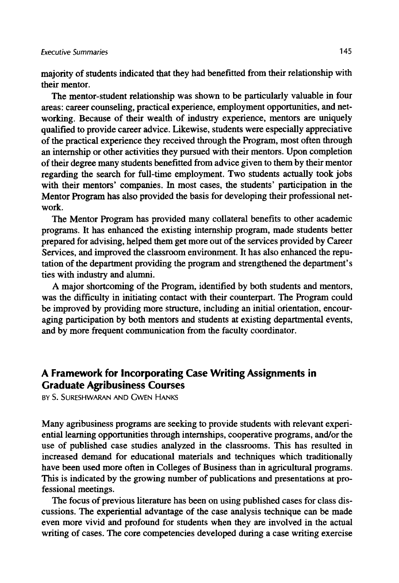majority of students indicated that they had benefitted from their relationship with their mentor.

The mentor-student relationship was shown to be particularly valuable in four areas: career counseling, practical experience, employment opportunities, and networking. Because of their wealth of industry experience, mentors are uniquely qualified to provide career advice. Likewise, students were especially appreciative of the practical experience they received through the Program, most often through an internship or other activities they pursued with their mentors. Upon completion of their degree many students benefitted from advice given to them by their mentor regarding the search for full-time employment. Two students actually took jobs with their mentors' companies. In most cases, the students' participation in the Mentor Program has also provided the basis for developing their professional network.

The Mentor Program has provided many collateral benefits to other academic programs. It has enhanced the existing internship program, made students better prepared for advising, helped them get more out of the services provided by Career Services, and improved the classroom environment. It has also enhanced the reputation of the department providing the program and strengthened the department's ties with industry and alumni.

A major shortcoming of the Program, identified by both students and mentors, was the difficulty in initiating contact with their counterpart. The Program could be improved by providing more structure, including an initial orientation, encouraging participation by both mentors and students at existing departmental events, and by more frequent communication from the faculty coordinator.

## **A Framework for Incorporating Case Writing Assignments in Graduate Agribusiness Courses**

**BY S. SURESHWARAN AND GWEN HANKS** 

Many agribusiness programs are seeking to provide students with relevant experiential learning opportunities through internships, cooperative programs, and/or the use of published case studies analyzed in the classrooms. This has resulted in increased demand for educational materials and techniques which traditionally have been used more often in Colleges of Business than in agricultural programs. This is indicated by the growing number of publications and presentations at professional meetings.

The focus of previous literature has been on using published cases for class discussions. The experiential advantage of the case analysis technique can be made even more vivid and profound for students when they are involved in the actual writing of cases. The core competencies developed during a case writing exercise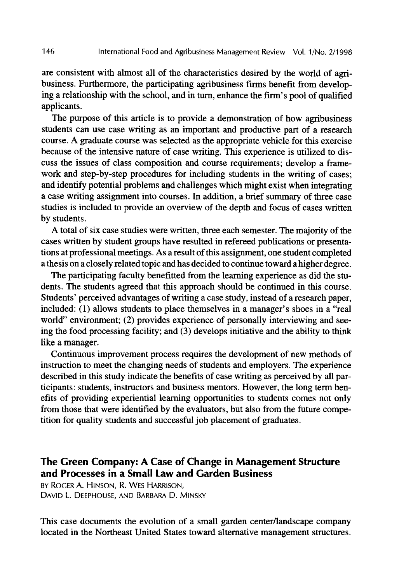are consistent with almost all of the characteristics desired by the world of agribusiness. Furthermore, the participating agribusiness firms benefit from developing a relationship with the school, and in turn, enhance the firm's pool of qualified applicants.

The purpose of this article is to provide a demonstration of how agribusiness students can use case writing as an important and productive part of a research course. A graduate course was selected as the appropriate vehicle for this exercise because of the intensive nature of case writing. This experience is utilized to discuss the issues of class composition and course requirements; develop a framework and step-by-step procedures for including students in the writing of cases; and identify potential problems and challenges which might exist when integrating a case writing assignment into courses. In addition, a brief summary of three case studies is included to provide an overview of the depth and focus of cases written by students.

A total of six case studies were written, three each semester. The majority of the cases written by student groups have resulted in refereed publications or presentations at professional meetings. As a result of this assignment, one student completed a thesis on a closely related topic and has decided to continue toward a higher degree.

The participating faculty benefitted from the learning experience as did the students. The students agreed that this approach should be continued in this course. Students' perceived advantages of writing a case study, instead of a research paper, included: (1) allows students to place themselves in a manager's shoes in a "real world" environment; (2) provides experience of personally interviewing and seeing the food processing facility; and  $(3)$  develops initiative and the ability to think like a manager.

Continuous improvement process requires the development of new methods of instruction to meet the changing needs of students and employers. The experience described in this study indicate the benefits of case writing as perceived by all participants: students, instructors and business mentors. However, the long term benefits of providing experiential learning opportunities to students comes not only from those that were identified by the evaluators, but also from the future competition for quality students and successful job placement of graduates.

## **The Green Company: A Case of Change in Management Structure and Processes in a Small Law and Garden Business**

BY ROGER A. HINSON, R. WES HARRISON, DAVID L. DEEPHOUSE, AND BARBARA D. MINSKY

This case documents the evolution of a small garden center/landscape company located in the Northeast United States toward alternative management structures.